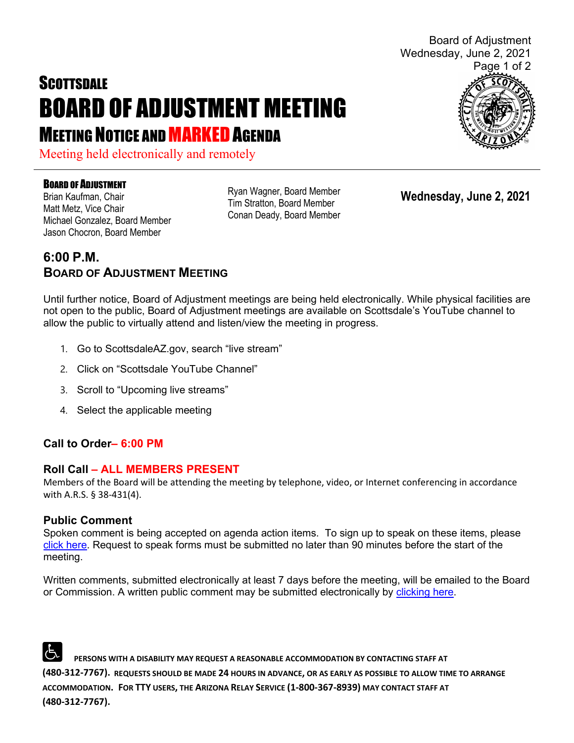# **SCOTTSDALE** BOARD OF ADJUSTMENT MEETING **MEETING NOTICE AND MARKED AGENDA**

Meeting held electronically and remotely

#### BOARD OF ADJUSTMENT

Brian Kaufman, Chair Matt Metz, Vice Chair Michael Gonzalez, Board Member Jason Chocron, Board Member

Ryan Wagner, Board Member Tim Stratton, Board Member Conan Deady, Board Member

**Wednesday, June 2, 2021**

### **6:00 P.M. BOARD OF ADJUSTMENT MEETING**

Until further notice, Board of Adjustment meetings are being held electronically. While physical facilities are not open to the public, Board of Adjustment meetings are available on Scottsdale's YouTube channel to allow the public to virtually attend and listen/view the meeting in progress.

- 1. Go to ScottsdaleAZ.gov, search "live stream"
- 2. Click on "Scottsdale YouTube Channel"
- 3. Scroll to "Upcoming live streams"
- 4. Select the applicable meeting

#### **Call to Order– 6:00 PM**

#### **Roll Call – ALL MEMBERS PRESENT**

Members of the Board will be attending the meeting by telephone, video, or Internet conferencing in accordance with A.R.S. § 38-431(4).

#### **Public Comment**

Spoken comment is being accepted on agenda action items. To sign up to speak on these items, please [click here.](https://www.scottsdaleaz.gov/boards/board-of-adjustment/spoken-comment) Request to speak forms must be submitted no later than 90 minutes before the start of the meeting.

Written comments, submitted electronically at least 7 days before the meeting, will be emailed to the Board or Commission. A written public comment may be submitted electronically by [clicking here.](https://www.scottsdaleaz.gov/boards/board-of-adjustment/public-comment)

 **PERSONS WITH A DISABILITY MAY REQUEST A REASONABLE ACCOMMODATION BY CONTACTING STAFF AT (480-312-7767). REQUESTS SHOULD BE MADE 24 HOURS IN ADVANCE, OR AS EARLY AS POSSIBLE TO ALLOW TIME TO ARRANGE ACCOMMODATION. FOR TTY USERS, THE ARIZONA RELAY SERVICE (1-800-367-8939) MAY CONTACT STAFF AT (480-312-7767).**